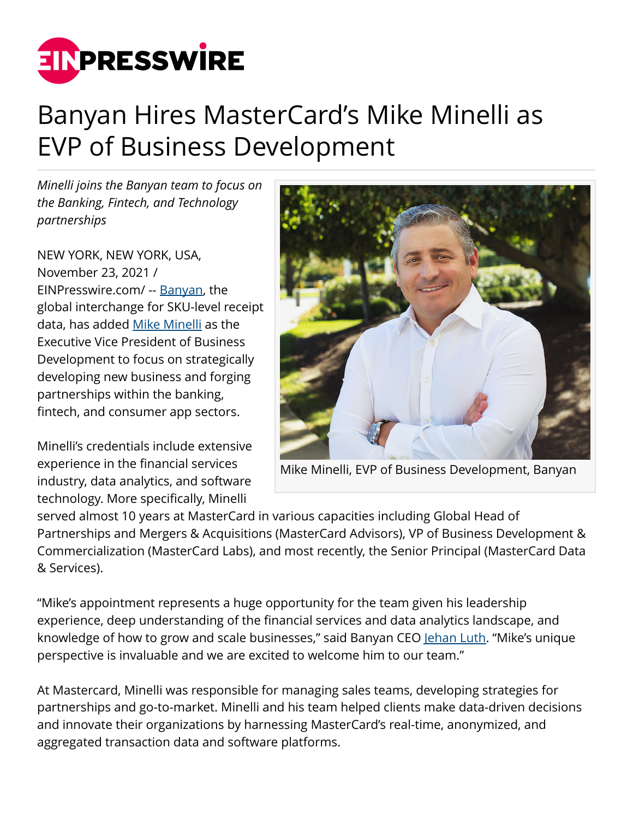

## Banyan Hires MasterCard's Mike Minelli as EVP of Business Development

*Minelli joins the Banyan team to focus on the Banking, Fintech, and Technology partnerships*

NEW YORK, NEW YORK, USA, November 23, 2021 / [EINPresswire.com](http://www.einpresswire.com)/ -- [Banyan](http://www.getbanyan.com), the global interchange for SKU-level receipt data, has added [Mike Minelli](https://www.linkedin.com/in/michaelminelli/) as the Executive Vice President of Business Development to focus on strategically developing new business and forging partnerships within the banking, fintech, and consumer app sectors.

Minelli's credentials include extensive experience in the financial services industry, data analytics, and software technology. More specifically, Minelli



Mike Minelli, EVP of Business Development, Banyan

served almost 10 years at MasterCard in various capacities including Global Head of Partnerships and Mergers & Acquisitions (MasterCard Advisors), VP of Business Development & Commercialization (MasterCard Labs), and most recently, the Senior Principal (MasterCard Data & Services).

"Mike's appointment represents a huge opportunity for the team given his leadership experience, deep understanding of the financial services and data analytics landscape, and knowledge of how to grow and scale businesses," said Banyan CEO [Jehan Luth](https://www.linkedin.com/in/jehanluth/). "Mike's unique perspective is invaluable and we are excited to welcome him to our team."

At Mastercard, Minelli was responsible for managing sales teams, developing strategies for partnerships and go-to-market. Minelli and his team helped clients make data-driven decisions and innovate their organizations by harnessing MasterCard's real-time, anonymized, and aggregated transaction data and software platforms.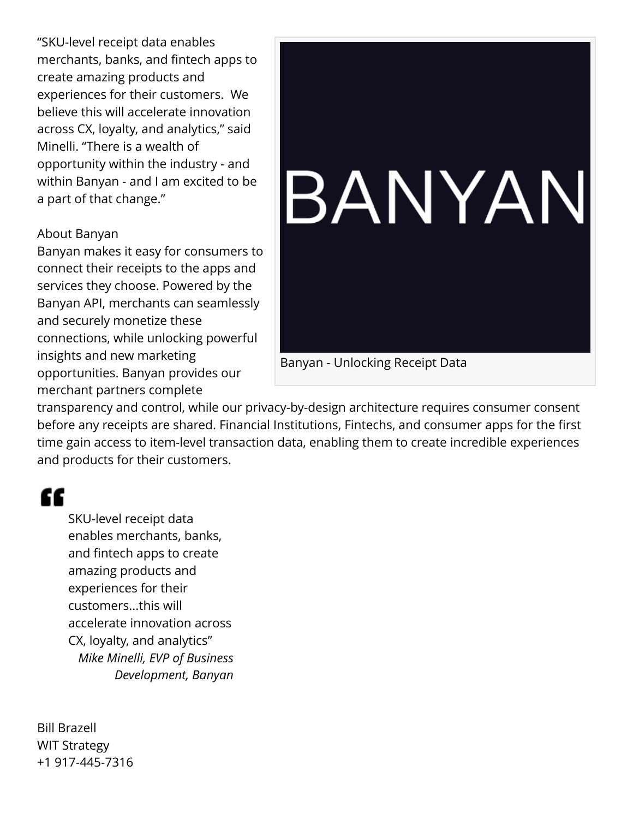"SKU-level receipt data enables merchants, banks, and fintech apps to create amazing products and experiences for their customers. We believe this will accelerate innovation across CX, loyalty, and analytics," said Minelli. "There is a wealth of opportunity within the industry - and within Banyan - and I am excited to be a part of that change."

## About Banyan

Banyan makes it easy for consumers to connect their receipts to the apps and services they choose. Powered by the Banyan API, merchants can seamlessly and securely monetize these connections, while unlocking powerful insights and new marketing opportunities. Banyan provides our merchant partners complete



Banyan - Unlocking Receipt Data

transparency and control, while our privacy-by-design architecture requires consumer consent before any receipts are shared. Financial Institutions, Fintechs, and consumer apps for the first time gain access to item-level transaction data, enabling them to create incredible experiences and products for their customers.

## ££

SKU-level receipt data enables merchants, banks, and fintech apps to create amazing products and experiences for their customers...this will accelerate innovation across CX, loyalty, and analytics" *Mike Minelli, EVP of Business Development, Banyan*

Bill Brazell WIT Strategy +1 917-445-7316